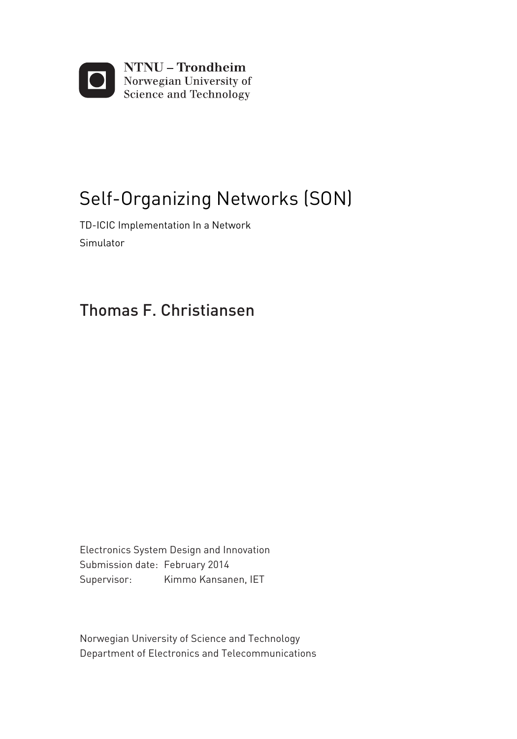

## Self-Organizing Networks (SON)

TD-ICIC Implementation In a Network Simulator

#### Thomas F. Christiansen

Electronics System Design and Innovation Supervisor: Kimmo Kansanen, IET Submission date: February 2014

Department of Electronics and Telecommunications Norwegian University of Science and Technology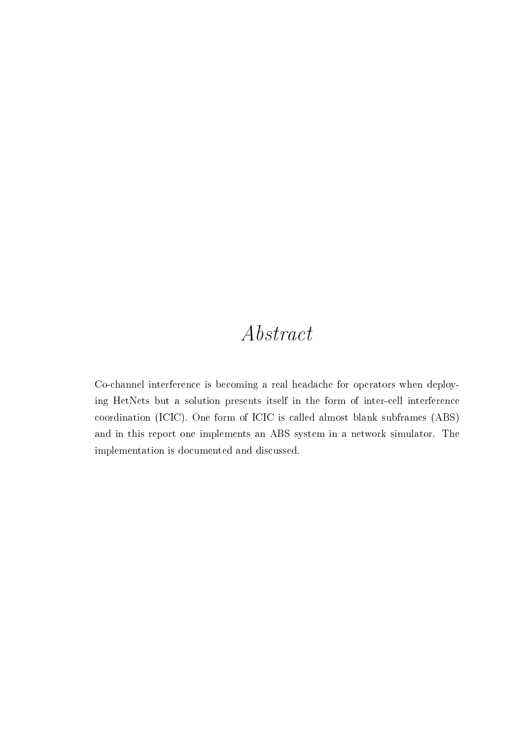## Abstract

<span id="page-2-0"></span>Co-channel interference is becoming a real headache for operators when deploying HetNets but a solution presents itself in the form of inter-cell interference coordination (ICIC). One form of ICIC is called almost blank subframes (ABS) and in this report one implements an ABS system in a network simulator. The implementation is documented and discussed.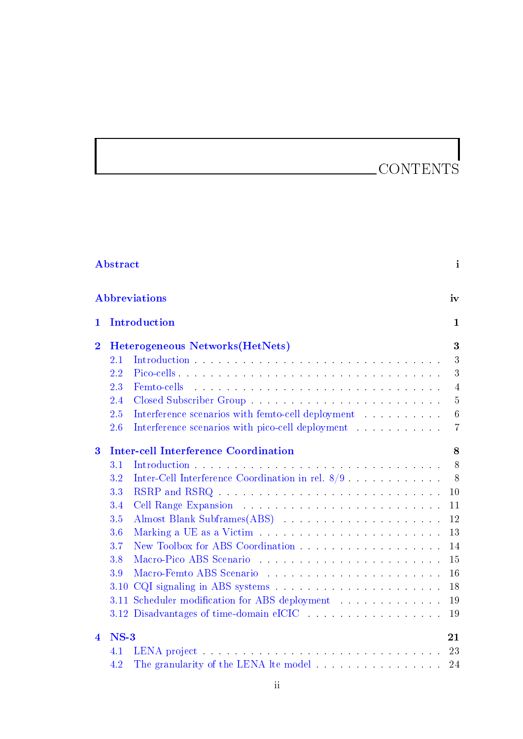## CONTENTS

|                         | <b>Abbreviations</b>                                                                                                                       | iv              |
|-------------------------|--------------------------------------------------------------------------------------------------------------------------------------------|-----------------|
| 1                       | Introduction                                                                                                                               | $\mathbf 1$     |
| $\overline{2}$          | Heterogeneous Networks (HetNets)                                                                                                           | 3               |
|                         | 2.1                                                                                                                                        | 3               |
|                         | 2.2                                                                                                                                        | 3               |
|                         | .<br>The contract of the contract of the contract of the contract of the contract of the contract of the contract of<br>2.3<br>Femto-cells | $\overline{4}$  |
|                         | 2.4                                                                                                                                        | $\overline{5}$  |
|                         | 2.5                                                                                                                                        | $6\phantom{.}6$ |
|                         | 2.6                                                                                                                                        | $\overline{7}$  |
| $\bf{3}$                | <b>Inter-cell Interference Coordination</b>                                                                                                | 8               |
|                         | $3.1\,$                                                                                                                                    | 8               |
|                         | Inter-Cell Interference Coordination in rel. $8/9$<br>3.2                                                                                  | 8               |
|                         | RSRP and RSRQ<br>3.3                                                                                                                       | 10              |
|                         | 3.4                                                                                                                                        | 11              |
|                         | 3.5                                                                                                                                        | 12              |
|                         | 3.6                                                                                                                                        | 13              |
|                         | 3.7                                                                                                                                        | 14              |
|                         | 3.8                                                                                                                                        | 15              |
|                         | Macro-Femto ABS Scenario<br>3.9                                                                                                            | 16              |
|                         | 3.10                                                                                                                                       | 18              |
|                         | Scheduler modification for ABS deployment<br>3.11                                                                                          | 19              |
|                         | 3.12 Disadvantages of time-domain eICIC and a series of the series of time-domain eICIC                                                    | 19              |
| $\overline{\mathbf{4}}$ | $NS-3$                                                                                                                                     | 21              |
|                         | 4.1                                                                                                                                        | 23              |
|                         | The granularity of the LENA lte model<br>4.2                                                                                               | 24              |

[Abstract](#page-5-0) i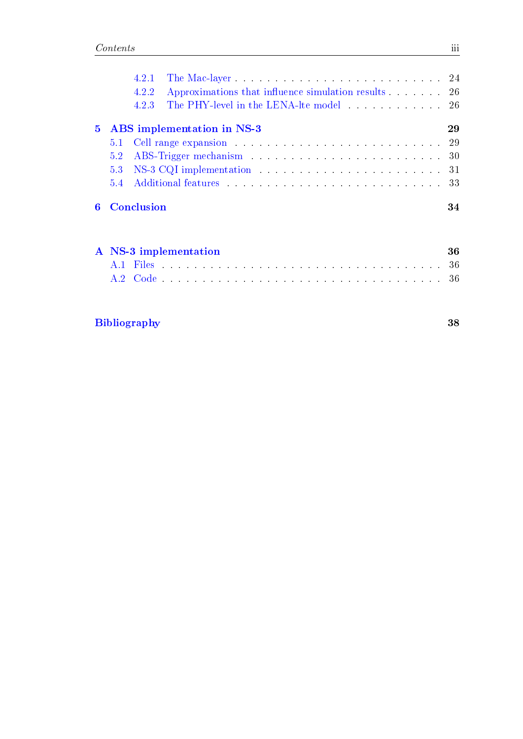|  | 4.2.2 Approximations that influence simulation results 26 |    |
|--|-----------------------------------------------------------|----|
|  | 423                                                       |    |
|  | 5 ABS implementation in NS-3                              | 29 |
|  |                                                           |    |
|  |                                                           |    |
|  |                                                           |    |
|  |                                                           |    |
|  | <b>6</b> Conclusion                                       | 34 |

|  | A NS-3 implementation                                                                                         |  |  |  |  |  |  |  |  |  |  |  |  |  |  |  |  | -36 |
|--|---------------------------------------------------------------------------------------------------------------|--|--|--|--|--|--|--|--|--|--|--|--|--|--|--|--|-----|
|  |                                                                                                               |  |  |  |  |  |  |  |  |  |  |  |  |  |  |  |  |     |
|  | A.2 Code experience and a series of the series of the series of the series of the series of the series of the |  |  |  |  |  |  |  |  |  |  |  |  |  |  |  |  |     |

#### [Bibliography](#page-2-0) 38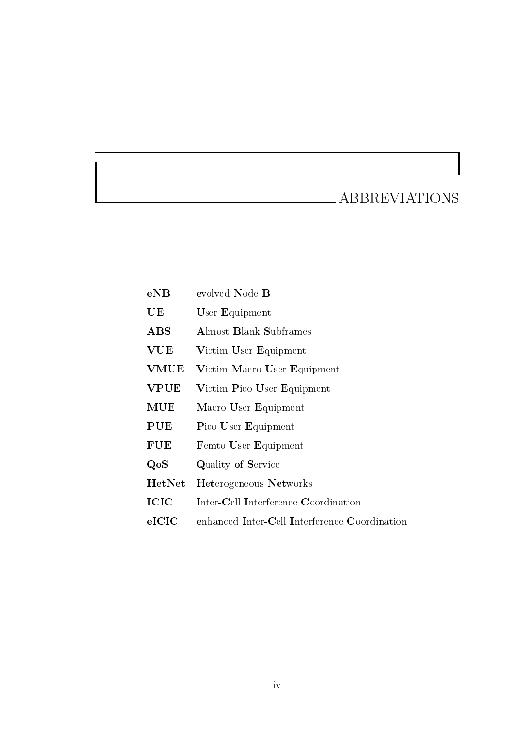## ABBREVIATIONS

<span id="page-5-0"></span>

| eNB            | evolved Node B                                |
|----------------|-----------------------------------------------|
| UE             | User Equipment                                |
| $\mathbf{ABS}$ | <b>Almost Blank Subframes</b>                 |
| VUE            | Victim User Equipment                         |
| VMUE           | Victim Macro User Equipment                   |
| <b>VPUE</b>    | Victim Pico User Equipment                    |
| $\mathbf{MUE}$ | Macro User Equipment                          |
| PUE            | Pico User Equipment                           |
| <b>FUE</b>     | Femto User Equipment                          |
| QoS            | Quality of Service                            |
| HetNet         | <b>Heterogeneous Networks</b>                 |
| ICIC           | Inter-Cell Interference Coordination          |
| $_{\rm eICIC}$ | enhanced Inter-Cell Interference Coordination |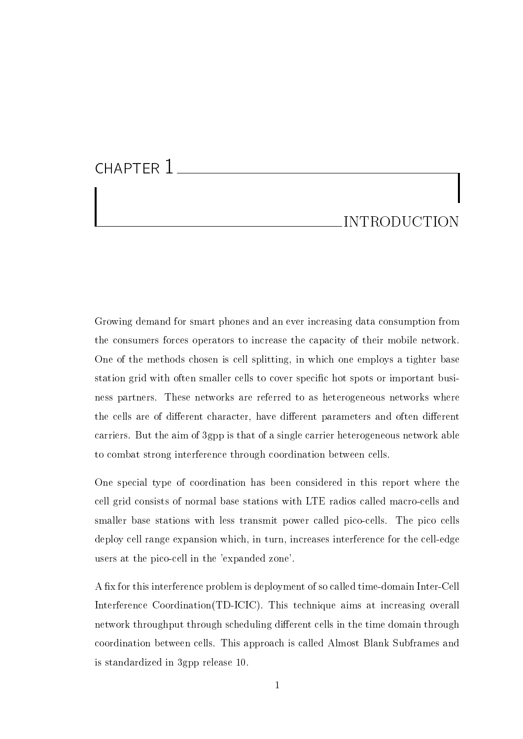# CHAPTER 1

#### INTRODUCTION

Growing demand for smart phones and an ever increasing data consumption from the consumers forces operators to increase the capacity of their mobile network. One of the methods chosen is cell splitting, in which one employs a tighter base station grid with often smaller cells to cover specific hot spots or important business partners. These networks are referred to as heterogeneous networks where the cells are of different character, have different parameters and often different carriers. But the aim of 3gpp is that of a single carrier heterogeneous network able to combat strong interference through coordination between cells.

One special type of coordination has been considered in this report where the cell grid consists of normal base stations with LTE radios called macro-cells and smaller base stations with less transmit power called pico-cells. The pico cells deploy cell range expansion which, in turn, increases interference for the cell-edge users at the pico-cell in the 'expanded zone'.

A fix for this interference problem is deployment of so called time-domain Inter-Cell Interference Coordination(TD-ICIC). This technique aims at increasing overall network throughput through scheduling different cells in the time domain through coordination between cells. This approach is called Almost Blank Subframes and is standardized in 3gpp release 10.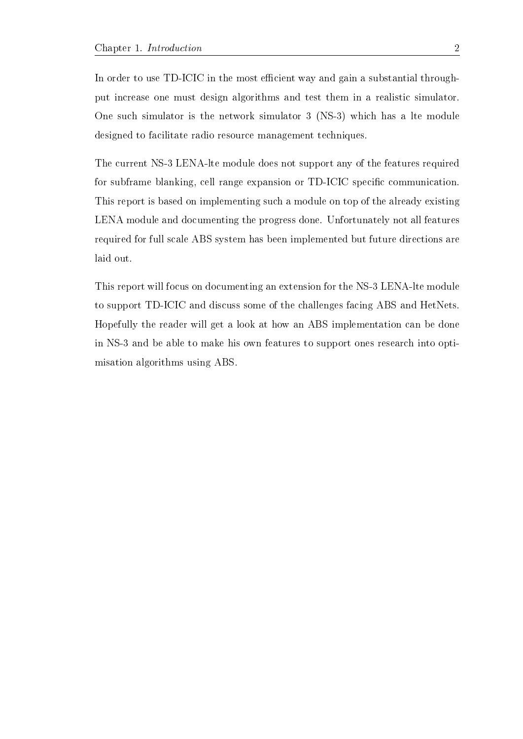In order to use TD-ICIC in the most efficient way and gain a substantial throughput increase one must design algorithms and test them in a realistic simulator. One such simulator is the network simulator 3 (NS-3) which has a lte module designed to facilitate radio resource management techniques.

The current NS-3 LENA-lte module does not support any of the features required for subframe blanking, cell range expansion or TD-ICIC specific communication. This report is based on implementing such a module on top of the already existing LENA module and documenting the progress done. Unfortunately not all features required for full scale ABS system has been implemented but future directions are laid out.

This report will focus on documenting an extension for the NS-3 LENA-lte module to support TD-ICIC and discuss some of the challenges facing ABS and HetNets. Hopefully the reader will get a look at how an ABS implementation can be done in NS-3 and be able to make his own features to support ones research into optimisation algorithms using ABS.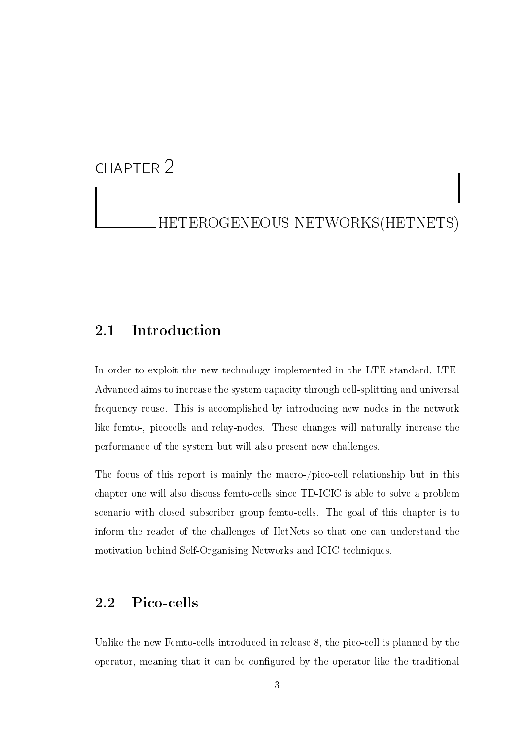## <span id="page-8-0"></span>CHAPTER 2

HETEROGENEOUS NETWORKS(HETNETS)

#### 2.1 Introduction

In order to exploit the new technology implemented in the LTE standard, LTE-Advanced aims to increase the system capacity through cell-splitting and universal frequency reuse. This is accomplished by introducing new nodes in the network like femto-, picocells and relay-nodes. These changes will naturally increase the performance of the system but will also present new challenges.

The focus of this report is mainly the macro-/pico-cell relationship but in this chapter one will also discuss femto-cells since TD-ICIC is able to solve a problem scenario with closed subscriber group femto-cells. The goal of this chapter is to inform the reader of the challenges of HetNets so that one can understand the motivation behind Self-Organising Networks and ICIC techniques.

#### <span id="page-8-1"></span>2.2 Pico-cells

Unlike the new Femto-cells introduced in release 8, the pico-cell is planned by the operator, meaning that it can be congured by the operator like the traditional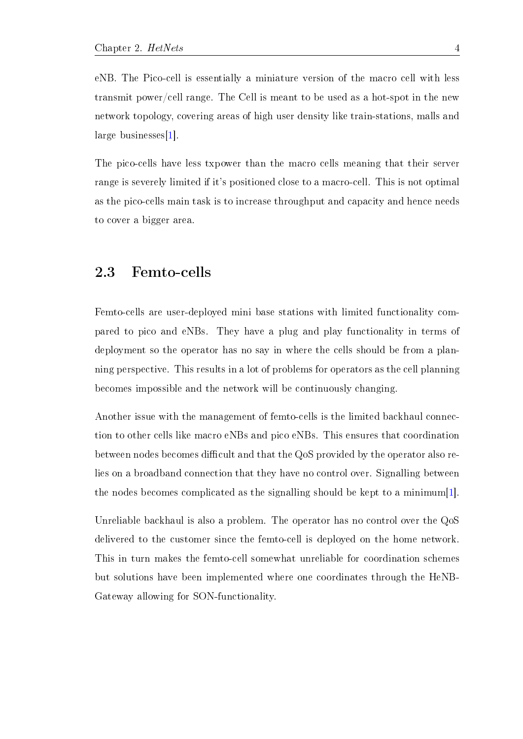eNB. The Pico-cell is essentially a miniature version of the macro cell with less transmit power/cell range. The Cell is meant to be used as a hot-spot in the new network topology, covering areas of high user density like train-stations, malls and large businesses[\[1\]](#page-43-0).

The pico-cells have less txpower than the macro cells meaning that their server range is severely limited if it's positioned close to a macro-cell. This is not optimal as the pico-cells main task is to increase throughput and capacity and hence needs to cover a bigger area.

#### <span id="page-9-0"></span>2.3 Femto-cells

Femto-cells are user-deployed mini base stations with limited functionality compared to pico and eNBs. They have a plug and play functionality in terms of deployment so the operator has no say in where the cells should be from a planning perspective. This results in a lot of problems for operators as the cell planning becomes impossible and the network will be continuously changing.

Another issue with the management of femto-cells is the limited backhaul connection to other cells like macro eNBs and pico eNBs. This ensures that coordination between nodes becomes difficult and that the QoS provided by the operator also relies on a broadband connection that they have no control over. Signalling between the nodes becomes complicated as the signalling should be kept to a minimum[\[1\]](#page-43-0).

Unreliable backhaul is also a problem. The operator has no control over the QoS delivered to the customer since the femto-cell is deployed on the home network. This in turn makes the femto-cell somewhat unreliable for coordination schemes but solutions have been implemented where one coordinates through the HeNB-Gateway allowing for SON-functionality.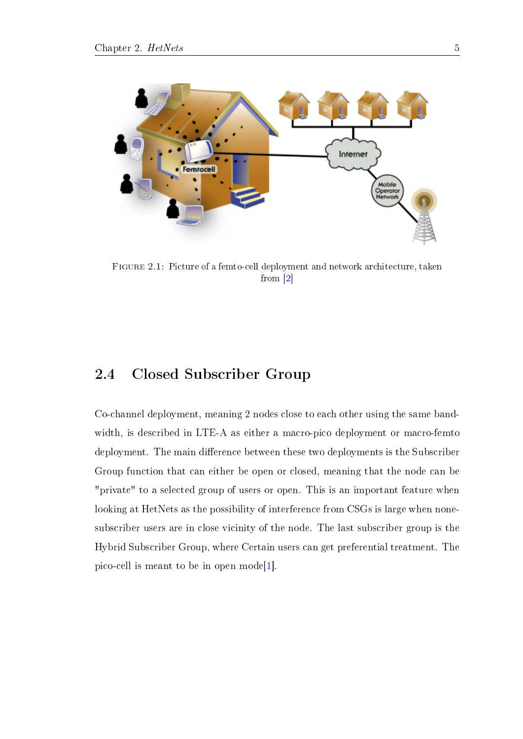

Figure 2.1: Picture of a femto-cell deployment and network architecture, taken from [\[2\]](#page-43-1)

#### 2.4 Closed Subscriber Group

Co-channel deployment, meaning 2 nodes close to each other using the same bandwidth, is described in LTE-A as either a macro-pico deployment or macro-femto deployment. The main difference between these two deployments is the Subscriber Group function that can either be open or closed, meaning that the node can be "private" to a selected group of users or open. This is an important feature when looking at HetNets as the possibility of interference from CSGs is large when nonesubscriber users are in close vicinity of the node. The last subscriber group is the Hybrid Subscriber Group, where Certain users can get preferential treatment. The pico-cell is meant to be in open mode<sup>[\[1\]](#page-43-0)</sup>.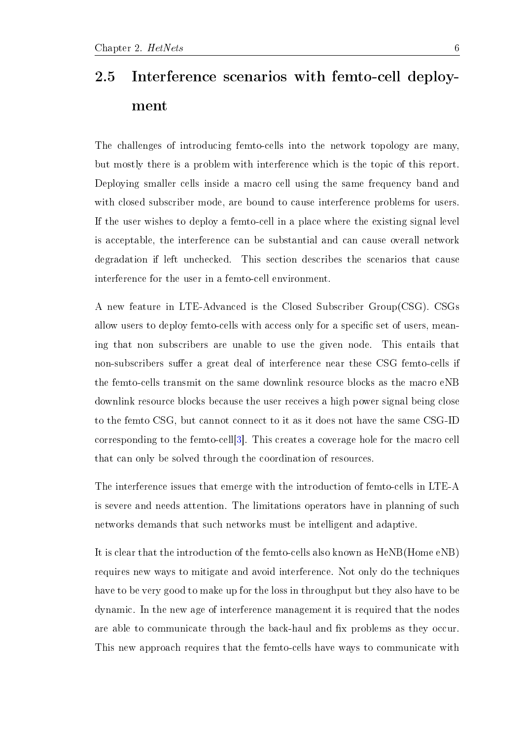## <span id="page-11-0"></span>2.5 Interference scenarios with femto-cell deployment

The challenges of introducing femto-cells into the network topology are many, but mostly there is a problem with interference which is the topic of this report. Deploying smaller cells inside a macro cell using the same frequency band and with closed subscriber mode, are bound to cause interference problems for users. If the user wishes to deploy a femto-cell in a place where the existing signal level is acceptable, the interference can be substantial and can cause overall network degradation if left unchecked. This section describes the scenarios that cause interference for the user in a femto-cell environment.

A new feature in LTE-Advanced is the Closed Subscriber Group(CSG). CSGs allow users to deploy femto-cells with access only for a specific set of users, meaning that non subscribers are unable to use the given node. This entails that non-subscribers suffer a great deal of interference near these CSG femto-cells if the femto-cells transmit on the same downlink resource blocks as the macro eNB downlink resource blocks because the user receives a high power signal being close to the femto CSG, but cannot connect to it as it does not have the same CSG-ID corresponding to the femto-cell[\[3\]](#page-43-2). This creates a coverage hole for the macro cell that can only be solved through the coordination of resources.

The interference issues that emerge with the introduction of femto-cells in LTE-A is severe and needs attention. The limitations operators have in planning of such networks demands that such networks must be intelligent and adaptive.

It is clear that the introduction of the femto-cells also known as HeNB(Home eNB) requires new ways to mitigate and avoid interference. Not only do the techniques have to be very good to make up for the loss in throughput but they also have to be dynamic. In the new age of interference management it is required that the nodes are able to communicate through the back-haul and fix problems as they occur. This new approach requires that the femto-cells have ways to communicate with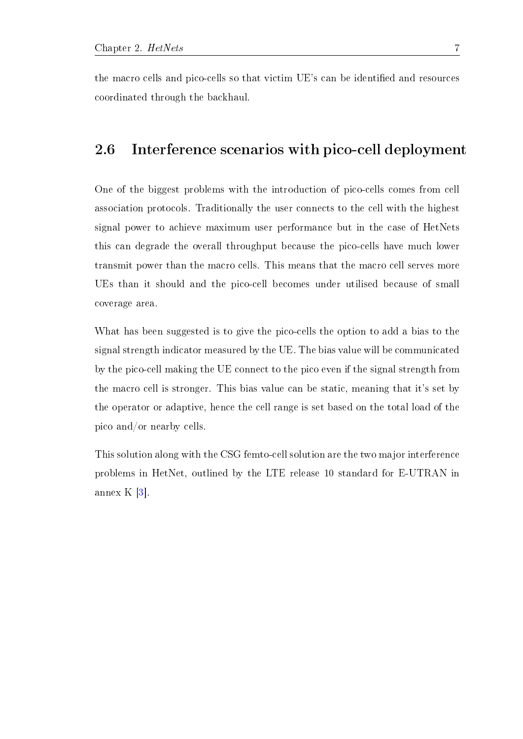the macro cells and pico-cells so that victim UE's can be identified and resources coordinated through the backhaul.

#### <span id="page-12-0"></span>2.6 Interference scenarios with pico-cell deployment

One of the biggest problems with the introduction of pico-cells comes from cell association protocols. Traditionally the user connects to the cell with the highest signal power to achieve maximum user performance but in the case of HetNets this can degrade the overall throughput because the pico-cells have much lower transmit power than the macro cells. This means that the macro cell serves more UEs than it should and the pico-cell becomes under utilised because of small coverage area.

What has been suggested is to give the pico-cells the option to add a bias to the signal strength indicator measured by the UE. The bias value will be communicated by the pico-cell making the UE connect to the pico even if the signal strength from the macro cell is stronger. This bias value can be static, meaning that it's set by the operator or adaptive, hence the cell range is set based on the total load of the pico and/or nearby cells.

This solution along with the CSG femto-cell solution are the two major interference problems in HetNet, outlined by the LTE release 10 standard for E-UTRAN in annex K [\[3\]](#page-43-2).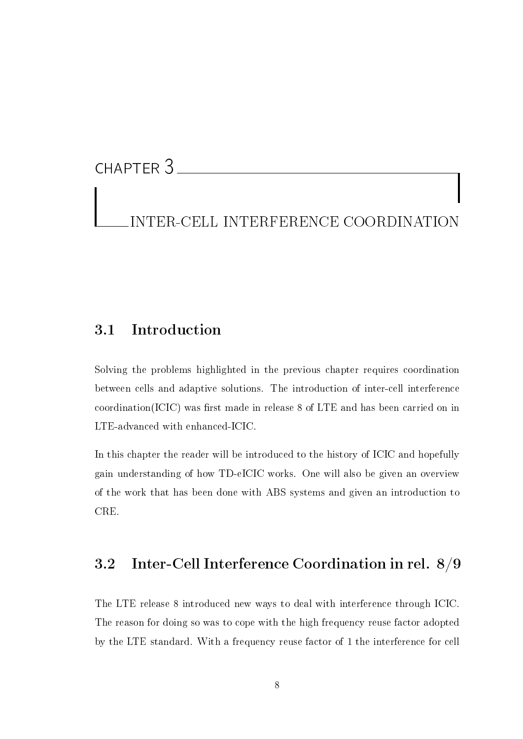## CHAPTER 3

## INTER-CELL INTERFERENCE COORDINATION

#### 3.1 Introduction

Solving the problems highlighted in the previous chapter requires coordination between cells and adaptive solutions. The introduction of inter-cell interference  $coordination(ICIC)$  was first made in release 8 of LTE and has been carried on in LTE-advanced with enhanced-ICIC.

In this chapter the reader will be introduced to the history of ICIC and hopefully gain understanding of how TD-eICIC works. One will also be given an overview of the work that has been done with ABS systems and given an introduction to CRE.

#### <span id="page-13-0"></span>3.2 Inter-Cell Interference Coordination in rel. 8/9

The LTE release 8 introduced new ways to deal with interference through ICIC. The reason for doing so was to cope with the high frequency reuse factor adopted by the LTE standard. With a frequency reuse factor of 1 the interference for cell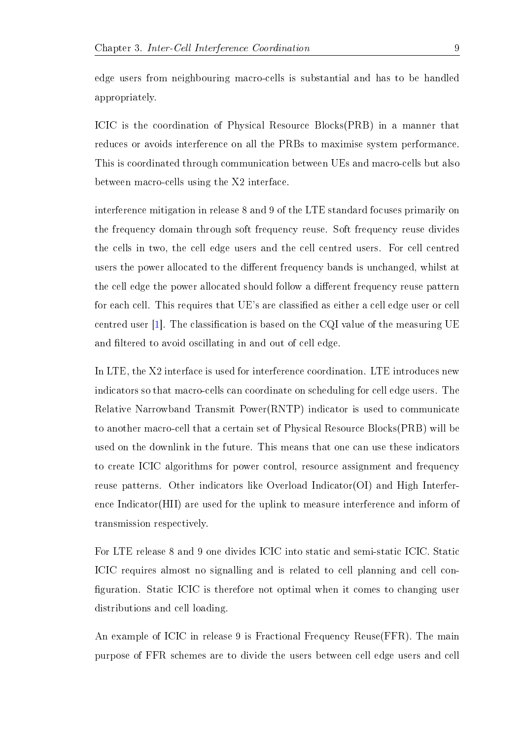edge users from neighbouring macro-cells is substantial and has to be handled appropriately.

ICIC is the coordination of Physical Resource Blocks(PRB) in a manner that reduces or avoids interference on all the PRBs to maximise system performance. This is coordinated through communication between UEs and macro-cells but also between macro-cells using the X2 interface.

interference mitigation in release 8 and 9 of the LTE standard focuses primarily on the frequency domain through soft frequency reuse. Soft frequency reuse divides the cells in two, the cell edge users and the cell centred users. For cell centred users the power allocated to the different frequency bands is unchanged, whilst at the cell edge the power allocated should follow a different frequency reuse pattern for each cell. This requires that UE's are classified as either a cell edge user or cell centred user  $[1]$ . The classification is based on the CQI value of the measuring UE and filtered to avoid oscillating in and out of cell edge.

In LTE, the X2 interface is used for interference coordination. LTE introduces new indicators so that macro-cells can coordinate on scheduling for cell edge users. The Relative Narrowband Transmit Power(RNTP) indicator is used to communicate to another macro-cell that a certain set of Physical Resource Blocks(PRB) will be used on the downlink in the future. This means that one can use these indicators to create ICIC algorithms for power control, resource assignment and frequency reuse patterns. Other indicators like Overload Indicator(OI) and High Interference Indicator(HII) are used for the uplink to measure interference and inform of transmission respectively.

For LTE release 8 and 9 one divides ICIC into static and semi-static ICIC. Static ICIC requires almost no signalling and is related to cell planning and cell con figuration. Static ICIC is therefore not optimal when it comes to changing user distributions and cell loading.

An example of ICIC in release 9 is Fractional Frequency Reuse(FFR). The main purpose of FFR schemes are to divide the users between cell edge users and cell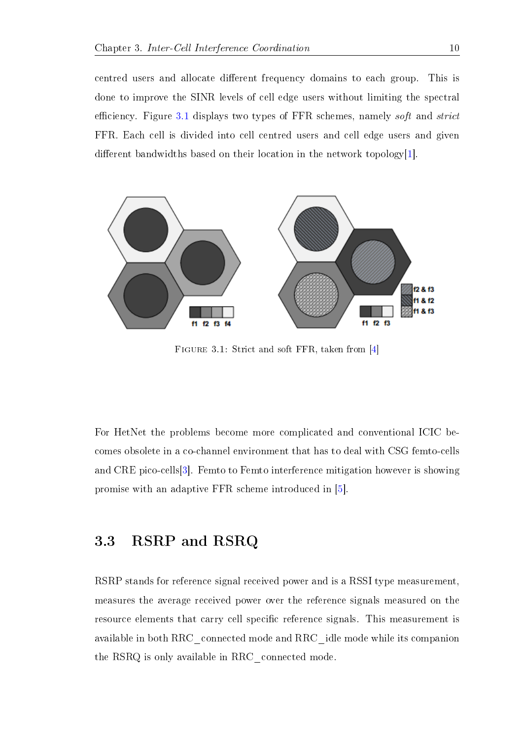centred users and allocate different frequency domains to each group. This is done to improve the SINR levels of cell edge users without limiting the spectral efficiency. Figure [3.1](#page-2-0) displays two types of FFR schemes, namely soft and strict FFR. Each cell is divided into cell centred users and cell edge users and given different bandwidths based on their location in the network topology $|1|$ .



Figure 3.1: Strict and soft FFR, taken from [\[4\]](#page-43-3)

For HetNet the problems become more complicated and conventional ICIC becomes obsolete in a co-channel environment that has to deal with CSG femto-cells and CRE pico-cells[\[3\]](#page-43-2). Femto to Femto interference mitigation however is showing promise with an adaptive FFR scheme introduced in [\[5\]](#page-43-4).

#### 3.3 RSRP and RSRQ

RSRP stands for reference signal received power and is a RSSI type measurement, measures the average received power over the reference signals measured on the resource elements that carry cell specific reference signals. This measurement is available in both RRC\_connected mode and RRC\_idle mode while its companion the RSRQ is only available in RRC\_connected mode.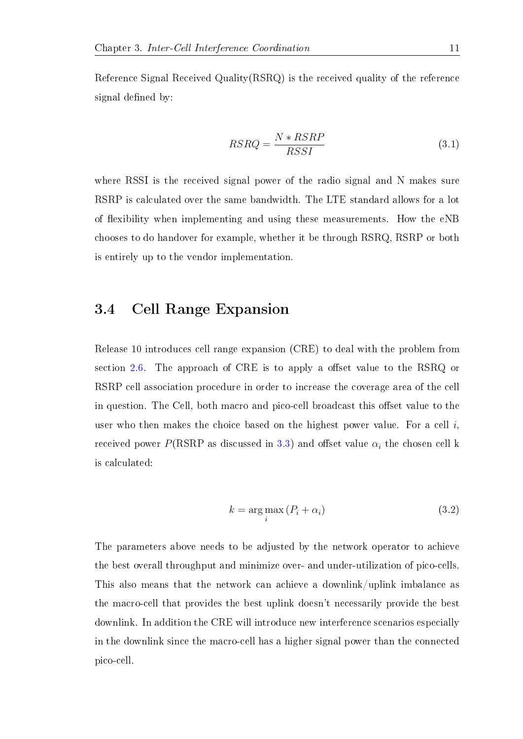Reference Signal Received Quality(RSRQ) is the received quality of the reference signal defined by:

$$
RSRQ = \frac{N * RSRP}{RSSI} \tag{3.1}
$$

where RSSI is the received signal power of the radio signal and N makes sure RSRP is calculated over the same bandwidth. The LTE standard allows for a lot of flexibility when implementing and using these measurements. How the eNB chooses to do handover for example, whether it be through RSRQ, RSRP or both is entirely up to the vendor implementation.

#### 3.4 Cell Range Expansion

Release 10 introduces cell range expansion (CRE) to deal with the problem from section [2.6.](#page-2-0) The approach of CRE is to apply a offset value to the RSRQ or RSRP cell association procedure in order to increase the coverage area of the cell in question. The Cell, both macro and pico-cell broadcast this offset value to the user who then makes the choice based on the highest power value. For a cell  $i$ , received power P(RSRP as discussed in [3.3\)](#page-2-0) and offset value  $\alpha_i$  the chosen cell k is calculated:

$$
k = \underset{i}{\arg \max} (P_i + \alpha_i) \tag{3.2}
$$

The parameters above needs to be adjusted by the network operator to achieve the best overall throughput and minimize over- and under-utilization of pico-cells. This also means that the network can achieve a downlink/uplink imbalance as the macro-cell that provides the best uplink doesn't necessarily provide the best downlink. In addition the CRE will introduce new interference scenarios especially in the downlink since the macro-cell has a higher signal power than the connected pico-cell.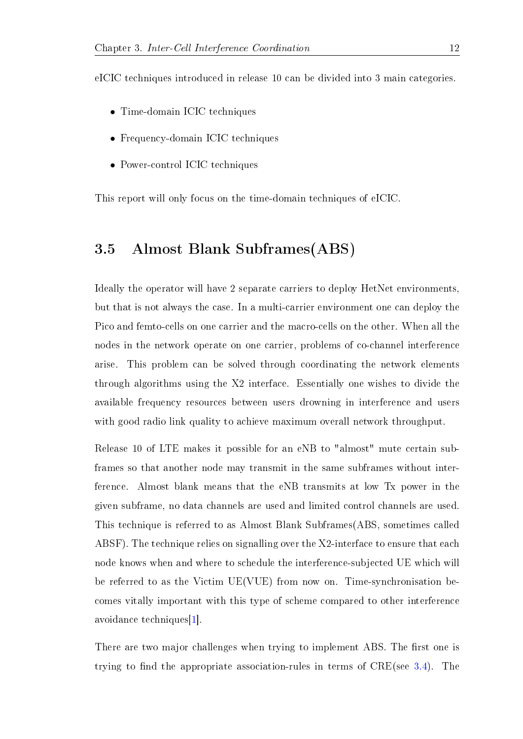eICIC techniques introduced in release 10 can be divided into 3 main categories.

- Time-domain ICIC techniques
- Frequency-domain ICIC techniques
- Power-control ICIC techniques

This report will only focus on the time-domain techniques of eICIC.

#### 3.5 Almost Blank Subframes(ABS)

Ideally the operator will have 2 separate carriers to deploy HetNet environments, but that is not always the case. In a multi-carrier environment one can deploy the Pico and femto-cells on one carrier and the macro-cells on the other. When all the nodes in the network operate on one carrier, problems of co-channel interference arise. This problem can be solved through coordinating the network elements through algorithms using the X2 interface. Essentially one wishes to divide the available frequency resources between users drowning in interference and users with good radio link quality to achieve maximum overall network throughput.

Release 10 of LTE makes it possible for an eNB to "almost" mute certain subframes so that another node may transmit in the same subframes without interference. Almost blank means that the eNB transmits at low Tx power in the given subframe, no data channels are used and limited control channels are used. This technique is referred to as Almost Blank Subframes(ABS, sometimes called ABSF). The technique relies on signalling over the X2-interface to ensure that each node knows when and where to schedule the interference-subjected UE which will be referred to as the Victim UE(VUE) from now on. Time-synchronisation becomes vitally important with this type of scheme compared to other interference avoidance techniques[\[1\]](#page-43-0).

There are two major challenges when trying to implement ABS. The first one is trying to find the appropriate association-rules in terms of  $CRE(see 3.4)$  $CRE(see 3.4)$ . The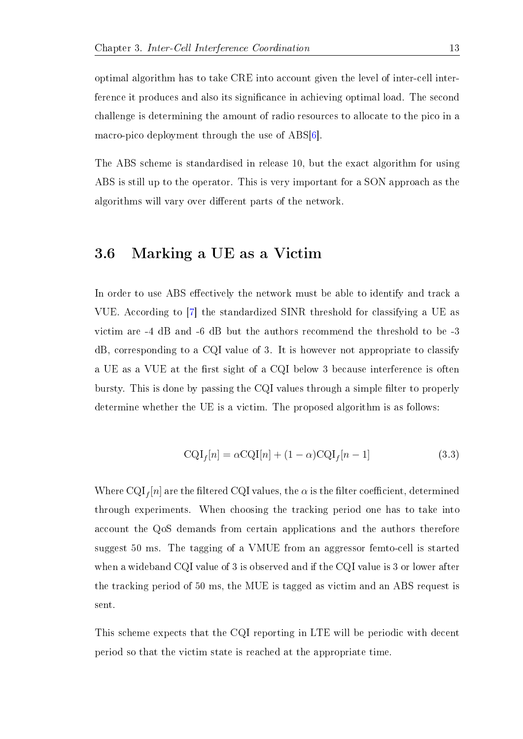optimal algorithm has to take CRE into account given the level of inter-cell interference it produces and also its significance in achieving optimal load. The second challenge is determining the amount of radio resources to allocate to the pico in a macro-pico deployment through the use of ABS[\[6\]](#page-44-0).

The ABS scheme is standardised in release 10, but the exact algorithm for using ABS is still up to the operator. This is very important for a SON approach as the algorithms will vary over different parts of the network.

#### <span id="page-18-0"></span>3.6 Marking a UE as a Victim

In order to use ABS effectively the network must be able to identify and track a VUE. According to [\[7\]](#page-44-1) the standardized SINR threshold for classifying a UE as victim are -4 dB and -6 dB but the authors recommend the threshold to be -3 dB, corresponding to a CQI value of 3. It is however not appropriate to classify a UE as a VUE at the first sight of a CQI below 3 because interference is often bursty. This is done by passing the CQI values through a simple filter to properly determine whether the UE is a victim. The proposed algorithm is as follows:

$$
CQI_f[n] = \alpha CQI[n] + (1 - \alpha)CQI_f[n-1]
$$
\n(3.3)

Where  $\mathrm{CQI}_f[n]$  are the filtered CQI values, the  $\alpha$  is the filter coefficient, determined through experiments. When choosing the tracking period one has to take into account the QoS demands from certain applications and the authors therefore suggest 50 ms. The tagging of a VMUE from an aggressor femto-cell is started when a wideband CQI value of 3 is observed and if the CQI value is 3 or lower after the tracking period of 50 ms, the MUE is tagged as victim and an ABS request is sent.

This scheme expects that the CQI reporting in LTE will be periodic with decent period so that the victim state is reached at the appropriate time.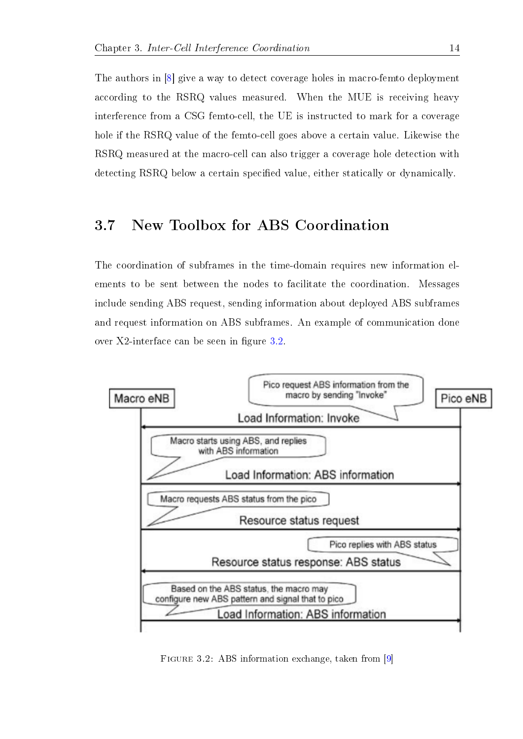The authors in [\[8\]](#page-44-2) give a way to detect coverage holes in macro-femto deployment according to the RSRQ values measured. When the MUE is receiving heavy interference from a CSG femto-cell, the UE is instructed to mark for a coverage hole if the RSRQ value of the femto-cell goes above a certain value. Likewise the RSRQ measured at the macro-cell can also trigger a coverage hole detection with detecting RSRQ below a certain specified value, either statically or dynamically.

#### 3.7 New Toolbox for ABS Coordination

The coordination of subframes in the time-domain requires new information elements to be sent between the nodes to facilitate the coordination. Messages include sending ABS request, sending information about deployed ABS subframes and request information on ABS subframes. An example of communication done over  $X2$ -interface can be seen in figure [3.2.](#page-2-0)



Figure 3.2: ABS information exchange, taken from [\[9\]](#page-44-3)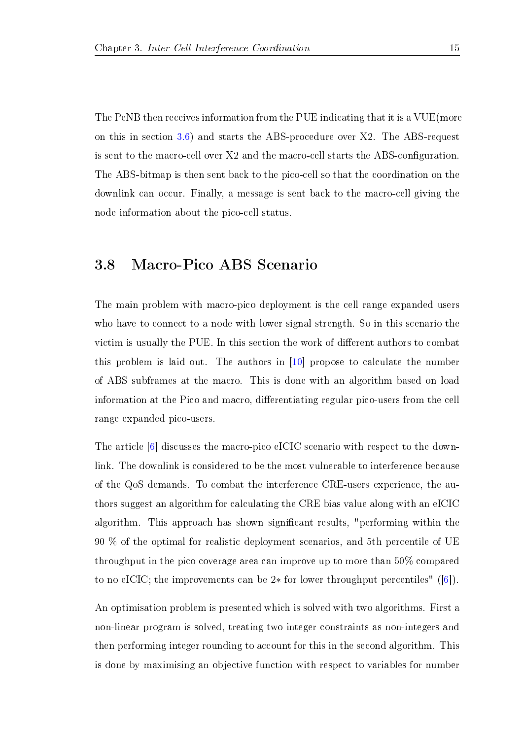The PeNB then receives information from the PUE indicating that it is a VUE(more on this in section [3.6\)](#page-2-0) and starts the ABS-procedure over X2. The ABS-request is sent to the macro-cell over  $X2$  and the macro-cell starts the ABS-configuration. The ABS-bitmap is then sent back to the pico-cell so that the coordination on the downlink can occur. Finally, a message is sent back to the macro-cell giving the node information about the pico-cell status.

#### 3.8 Macro-Pico ABS Scenario

The main problem with macro-pico deployment is the cell range expanded users who have to connect to a node with lower signal strength. So in this scenario the victim is usually the PUE. In this section the work of different authors to combat this problem is laid out. The authors in [\[10\]](#page-44-4) propose to calculate the number of ABS subframes at the macro. This is done with an algorithm based on load information at the Pico and macro, differentiating regular pico-users from the cell range expanded pico-users.

The article [\[6\]](#page-44-0) discusses the macro-pico eICIC scenario with respect to the downlink. The downlink is considered to be the most vulnerable to interference because of the QoS demands. To combat the interference CRE-users experience, the authors suggest an algorithm for calculating the CRE bias value along with an eICIC algorithm. This approach has shown signicant results, "performing within the 90 % of the optimal for realistic deployment scenarios, and 5th percentile of UE throughput in the pico coverage area can improve up to more than 50% compared to no eICIC; the improvements can be 2∗ for lower throughput percentiles" ([\[6\]](#page-44-0)).

An optimisation problem is presented which is solved with two algorithms. First a non-linear program is solved, treating two integer constraints as non-integers and then performing integer rounding to account for this in the second algorithm. This is done by maximising an objective function with respect to variables for number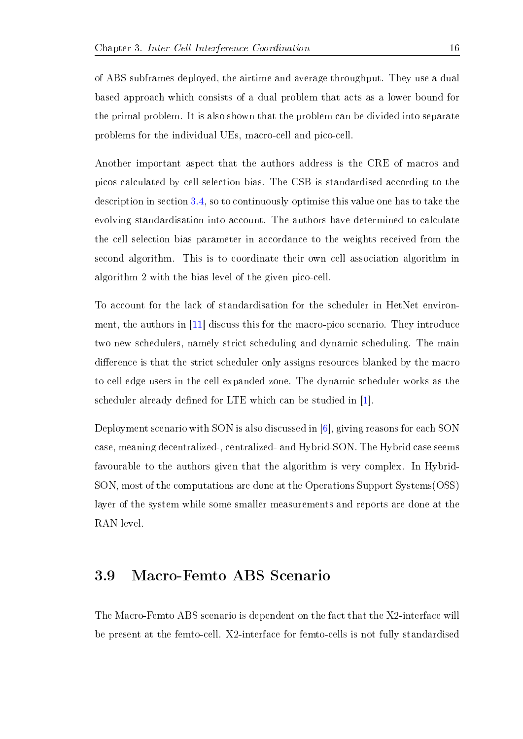of ABS subframes deployed, the airtime and average throughput. They use a dual based approach which consists of a dual problem that acts as a lower bound for the primal problem. It is also shown that the problem can be divided into separate problems for the individual UEs, macro-cell and pico-cell.

Another important aspect that the authors address is the CRE of macros and picos calculated by cell selection bias. The CSB is standardised according to the description in section [3.4,](#page-2-0) so to continuously optimise this value one has to take the evolving standardisation into account. The authors have determined to calculate the cell selection bias parameter in accordance to the weights received from the second algorithm. This is to coordinate their own cell association algorithm in algorithm 2 with the bias level of the given pico-cell.

To account for the lack of standardisation for the scheduler in HetNet environment, the authors in [\[11\]](#page-44-5) discuss this for the macro-pico scenario. They introduce two new schedulers, namely strict scheduling and dynamic scheduling. The main difference is that the strict scheduler only assigns resources blanked by the macro to cell edge users in the cell expanded zone. The dynamic scheduler works as the scheduler already defined for LTE which can be studied in [\[1\]](#page-43-0).

Deployment scenario with SON is also discussed in [\[6\]](#page-44-0), giving reasons for each SON case, meaning decentralized-, centralized- and Hybrid-SON. The Hybrid case seems favourable to the authors given that the algorithm is very complex. In Hybrid-SON, most of the computations are done at the Operations Support Systems(OSS) layer of the system while some smaller measurements and reports are done at the RAN level.

#### <span id="page-21-0"></span>3.9 Macro-Femto ABS Scenario

The Macro-Femto ABS scenario is dependent on the fact that the X2-interface will be present at the femto-cell. X2-interface for femto-cells is not fully standardised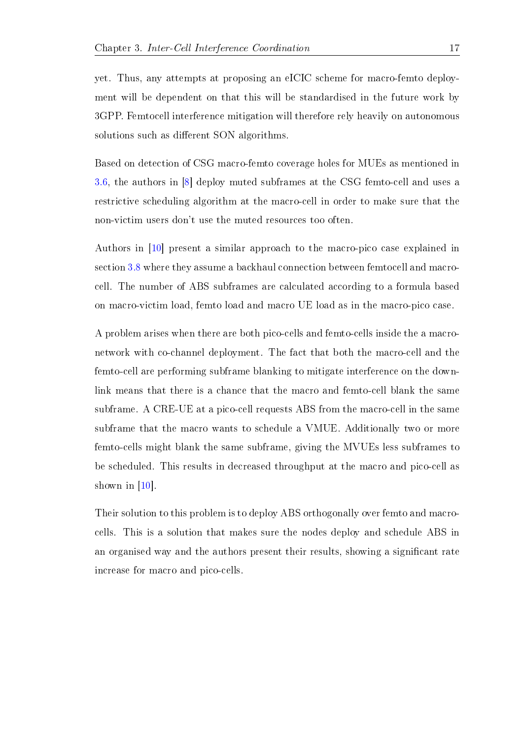yet. Thus, any attempts at proposing an eICIC scheme for macro-femto deployment will be dependent on that this will be standardised in the future work by 3GPP. Femtocell interference mitigation will therefore rely heavily on autonomous solutions such as different SON algorithms.

Based on detection of CSG macro-femto coverage holes for MUEs as mentioned in [3.6,](#page-2-0) the authors in [\[8\]](#page-44-2) deploy muted subframes at the CSG femto-cell and uses a restrictive scheduling algorithm at the macro-cell in order to make sure that the non-victim users don't use the muted resources too often.

Authors in [\[10\]](#page-44-4) present a similar approach to the macro-pico case explained in section [3.8](#page-21-0) where they assume a backhaul connection between femtocell and macrocell. The number of ABS subframes are calculated according to a formula based on macro-victim load, femto load and macro UE load as in the macro-pico case.

A problem arises when there are both pico-cells and femto-cells inside the a macronetwork with co-channel deployment. The fact that both the macro-cell and the femto-cell are performing subframe blanking to mitigate interference on the downlink means that there is a chance that the macro and femto-cell blank the same subframe. A CRE-UE at a pico-cell requests ABS from the macro-cell in the same subframe that the macro wants to schedule a VMUE. Additionally two or more femto-cells might blank the same subframe, giving the MVUEs less subframes to be scheduled. This results in decreased throughput at the macro and pico-cell as shown in [\[10\]](#page-44-4).

Their solution to this problem is to deploy ABS orthogonally over femto and macrocells. This is a solution that makes sure the nodes deploy and schedule ABS in an organised way and the authors present their results, showing a signicant rate increase for macro and pico-cells.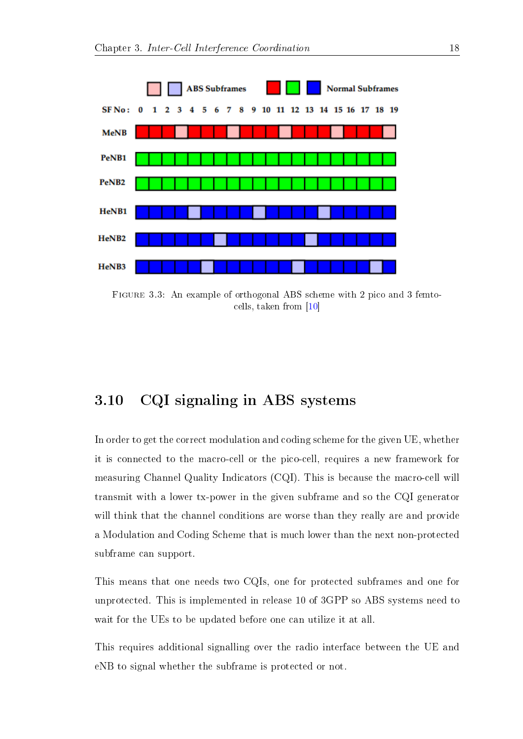

Figure 3.3: An example of orthogonal ABS scheme with 2 pico and 3 femtocells, taken from [\[10\]](#page-44-4)

#### 3.10 CQI signaling in ABS systems

In order to get the correct modulation and coding scheme for the given UE, whether it is connected to the macro-cell or the pico-cell, requires a new framework for measuring Channel Quality Indicators (CQI). This is because the macro-cell will transmit with a lower tx-power in the given subframe and so the CQI generator will think that the channel conditions are worse than they really are and provide a Modulation and Coding Scheme that is much lower than the next non-protected subframe can support.

This means that one needs two CQIs, one for protected subframes and one for unprotected. This is implemented in release 10 of 3GPP so ABS systems need to wait for the UEs to be updated before one can utilize it at all.

This requires additional signalling over the radio interface between the UE and eNB to signal whether the subframe is protected or not.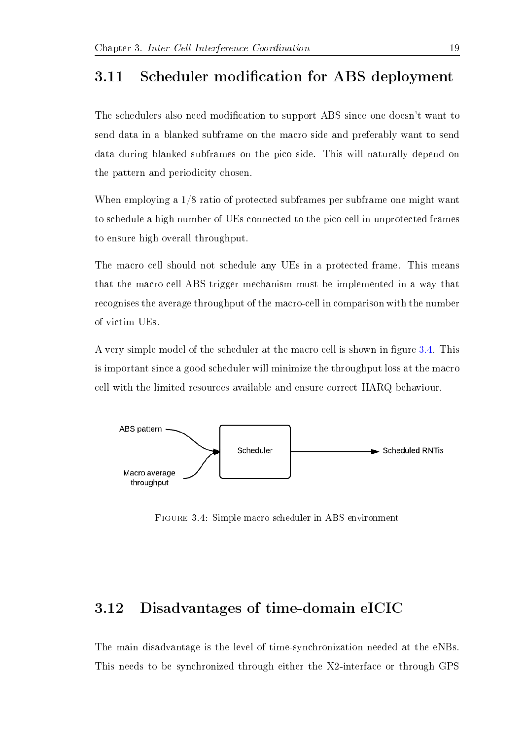#### <span id="page-24-0"></span>3.11 Scheduler modification for ABS deployment

The schedulers also need modification to support ABS since one doesn't want to send data in a blanked subframe on the macro side and preferably want to send data during blanked subframes on the pico side. This will naturally depend on the pattern and periodicity chosen.

When employing a 1/8 ratio of protected subframes per subframe one might want to schedule a high number of UEs connected to the pico cell in unprotected frames to ensure high overall throughput.

The macro cell should not schedule any UEs in a protected frame. This means that the macro-cell ABS-trigger mechanism must be implemented in a way that recognises the average throughput of the macro-cell in comparison with the number of victim UEs.

A very simple model of the scheduler at the macro cell is shown in figure [3.4.](#page-2-0) This is important since a good scheduler will minimize the throughput loss at the macro cell with the limited resources available and ensure correct HARQ behaviour.



Figure 3.4: Simple macro scheduler in ABS environment

#### 3.12 Disadvantages of time-domain eICIC

The main disadvantage is the level of time-synchronization needed at the eNBs. This needs to be synchronized through either the X2-interface or through GPS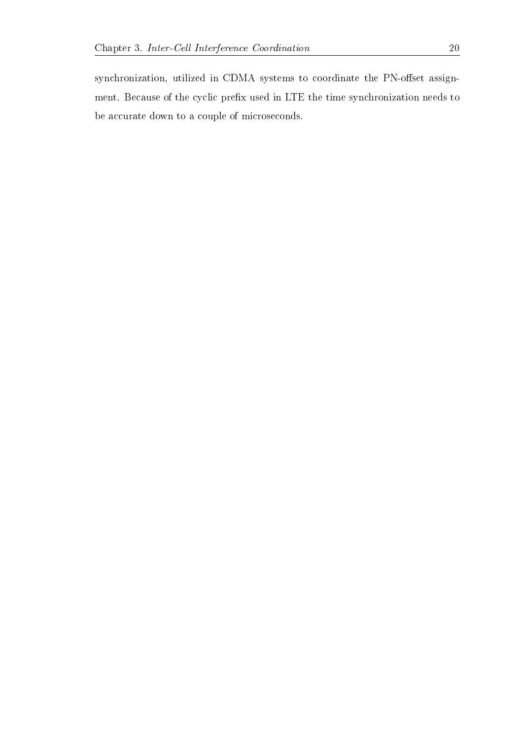synchronization, utilized in CDMA systems to coordinate the PN-offset assignment. Because of the cyclic prefix used in LTE the time synchronization needs to be accurate down to a couple of microseconds.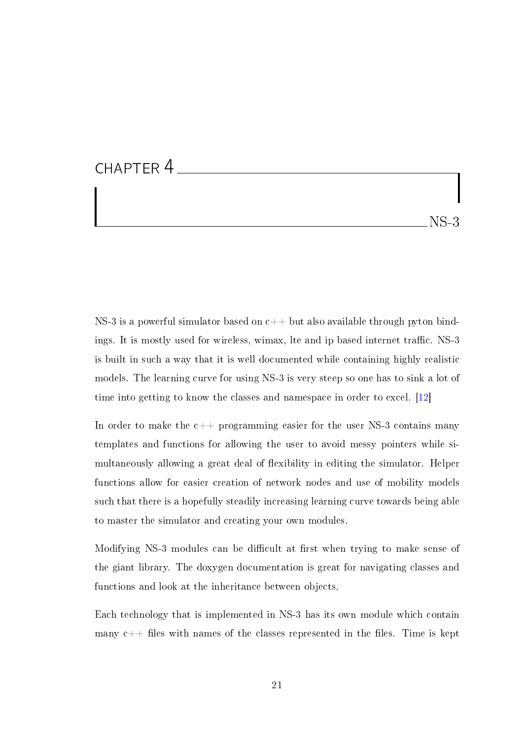#### CHAPTER 4

NS-3

NS-3 is a powerful simulator based on  $c++$  but also available through pyton bindings. It is mostly used for wireless, wimax, lte and ip based internet traffic. NS-3 is built in such a way that it is well documented while containing highly realistic models. The learning curve for using NS-3 is very steep so one has to sink a lot of time into getting to know the classes and namespace in order to excel. [\[12\]](#page-44-6)

In order to make the  $c++$  programming easier for the user NS-3 contains many templates and functions for allowing the user to avoid messy pointers while simultaneously allowing a great deal of flexibility in editing the simulator. Helper functions allow for easier creation of network nodes and use of mobility models such that there is a hopefully steadily increasing learning curve towards being able to master the simulator and creating your own modules.

Modifying NS-3 modules can be difficult at first when trying to make sense of the giant library. The doxygen documentation is great for navigating classes and functions and look at the inheritance between objects.

Each technology that is implemented in NS-3 has its own module which contain many  $c++$  files with names of the classes represented in the files. Time is kept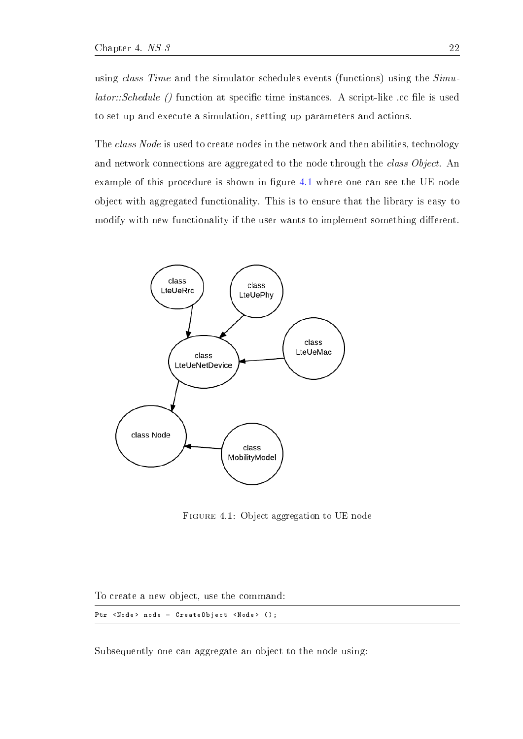using *class Time* and the simulator schedules events (functions) using the  $Simu$  $lator::Schedule$  () function at specific time instances. A script-like .cc file is used to set up and execute a simulation, setting up parameters and actions.

The class Node is used to create nodes in the network and then abilities, technology and network connections are aggregated to the node through the class Object. An example of this procedure is shown in figure [4.1](#page-2-0) where one can see the UE node object with aggregated functionality. This is to ensure that the library is easy to modify with new functionality if the user wants to implement something different.



Figure 4.1: Object aggregation to UE node

To create a new object, use the command:

```
Ptr <Node> node = CreateObject <Node> ();
```
Subsequently one can aggregate an object to the node using: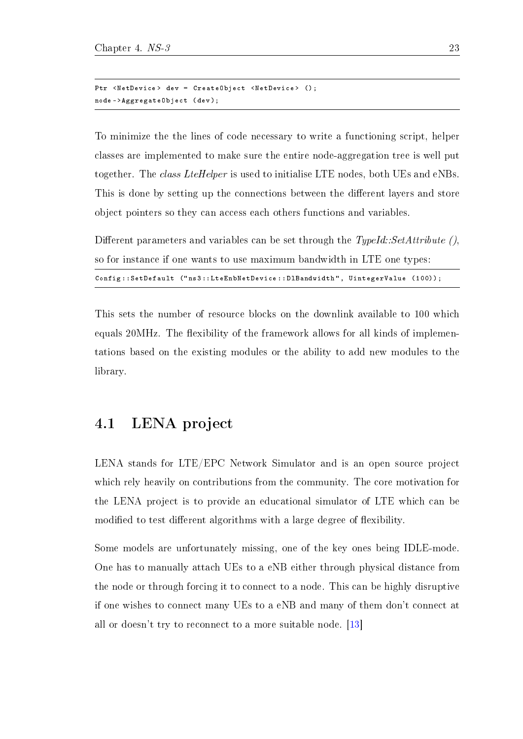```
Ptr <NetDevice> dev = CreateObject <NetDevice> ();
node -> AggregateObject ( dev );
```
To minimize the the lines of code necessary to write a functioning script, helper classes are implemented to make sure the entire node-aggregation tree is well put together. The class LteHelper is used to initialise LTE nodes, both UEs and eNBs. This is done by setting up the connections between the different layers and store object pointers so they can access each others functions and variables.

Different parameters and variables can be set through the  $TypeId::SetAttribute()$ , so for instance if one wants to use maximum bandwidth in LTE one types:

| Config::SetDefault ("ns3::LteEnbNetDevice::DlBandwidth", UintegerValue (100)); |  |  |  |  |
|--------------------------------------------------------------------------------|--|--|--|--|
|--------------------------------------------------------------------------------|--|--|--|--|

This sets the number of resource blocks on the downlink available to 100 which equals 20 MHz. The flexibility of the framework allows for all kinds of implementations based on the existing modules or the ability to add new modules to the library.

#### 4.1 LENA project

LENA stands for LTE/EPC Network Simulator and is an open source project which rely heavily on contributions from the community. The core motivation for the LENA project is to provide an educational simulator of LTE which can be modified to test different algorithms with a large degree of flexibility.

Some models are unfortunately missing, one of the key ones being IDLE-mode. One has to manually attach UEs to a eNB either through physical distance from the node or through forcing it to connect to a node. This can be highly disruptive if one wishes to connect many UEs to a eNB and many of them don't connect at all or doesn't try to reconnect to a more suitable node. [\[13\]](#page-44-7)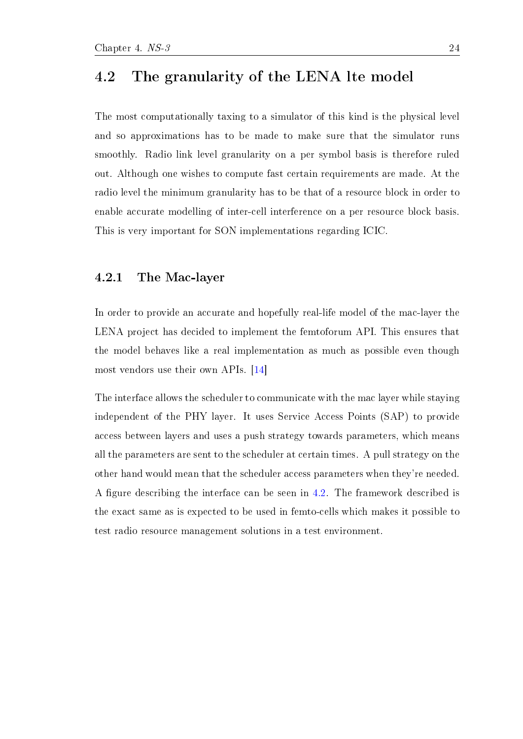#### <span id="page-29-0"></span>4.2 The granularity of the LENA lte model

The most computationally taxing to a simulator of this kind is the physical level and so approximations has to be made to make sure that the simulator runs smoothly. Radio link level granularity on a per symbol basis is therefore ruled out. Although one wishes to compute fast certain requirements are made. At the radio level the minimum granularity has to be that of a resource block in order to enable accurate modelling of inter-cell interference on a per resource block basis. This is very important for SON implementations regarding ICIC.

#### 4.2.1 The Mac-layer

In order to provide an accurate and hopefully real-life model of the mac-layer the LENA project has decided to implement the femtoforum API. This ensures that the model behaves like a real implementation as much as possible even though most vendors use their own APIs. [\[14\]](#page-45-0)

The interface allows the scheduler to communicate with the mac layer while staying independent of the PHY layer. It uses Service Access Points (SAP) to provide access between layers and uses a push strategy towards parameters, which means all the parameters are sent to the scheduler at certain times. A pull strategy on the other hand would mean that the scheduler access parameters when they're needed. A figure describing the interface can be seen in [4.2.](#page-2-0) The framework described is the exact same as is expected to be used in femto-cells which makes it possible to test radio resource management solutions in a test environment.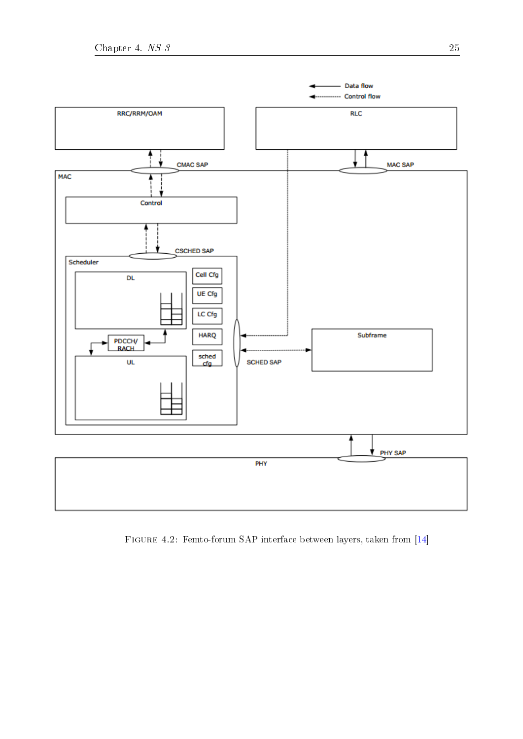

Figure 4.2: Femto-forum SAP interface between layers, taken from [\[14\]](#page-45-0)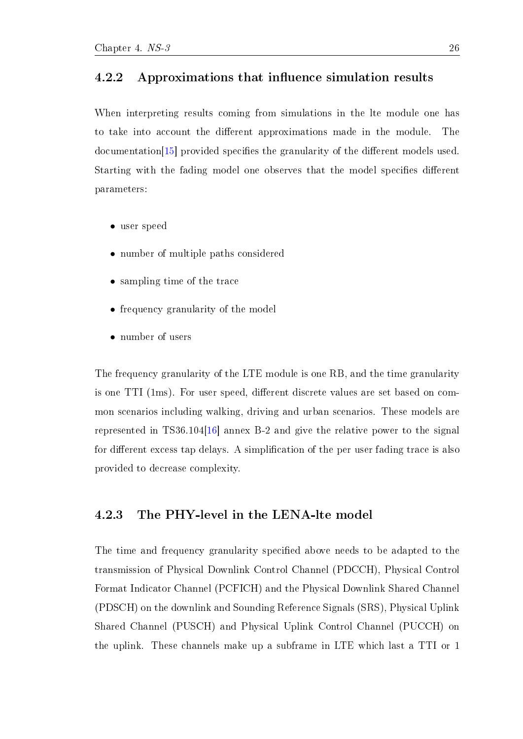#### 4.2.2 Approximations that influence simulation results

When interpreting results coming from simulations in the lte module one has to take into account the different approximations made in the module. The  $d$ ocumentation<sup>[\[15\]](#page-45-1)</sup> provided specifies the granularity of the different models used. Starting with the fading model one observes that the model specifies different parameters:

- user speed
- number of multiple paths considered
- sampling time of the trace
- frequency granularity of the model
- number of users

The frequency granularity of the LTE module is one RB, and the time granularity is one TTI (1ms). For user speed, different discrete values are set based on common scenarios including walking, driving and urban scenarios. These models are represented in TS36.104[\[16\]](#page-45-2) annex B-2 and give the relative power to the signal for different excess tap delays. A simplification of the per user fading trace is also provided to decrease complexity.

#### <span id="page-31-0"></span>4.2.3 The PHY-level in the LENA-lte model

The time and frequency granularity specified above needs to be adapted to the transmission of Physical Downlink Control Channel (PDCCH), Physical Control Format Indicator Channel (PCFICH) and the Physical Downlink Shared Channel (PDSCH) on the downlink and Sounding Reference Signals (SRS), Physical Uplink Shared Channel (PUSCH) and Physical Uplink Control Channel (PUCCH) on the uplink. These channels make up a subframe in LTE which last a TTI or 1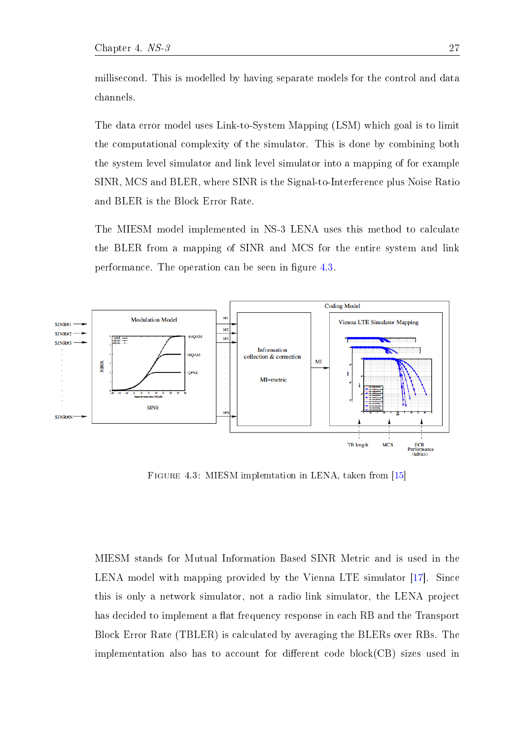The data error model uses Link-to-System Mapping (LSM) which goal is to limit the computational complexity of the simulator. This is done by combining both the system level simulator and link level simulator into a mapping of for example SINR, MCS and BLER, where SINR is the Signal-to-Interference plus Noise Ratio and BLER is the Block Error Rate.

The MIESM model implemented in NS-3 LENA uses this method to calculate the BLER from a mapping of SINR and MCS for the entire system and link performance. The operation can be seen in figure [4.3.](#page-2-0)



Figure 4.3: MIESM implemtation in LENA, taken from [\[15\]](#page-45-1)

MIESM stands for Mutual Information Based SINR Metric and is used in the LENA model with mapping provided by the Vienna LTE simulator [\[17\]](#page-45-3). Since this is only a network simulator, not a radio link simulator, the LENA project has decided to implement a flat frequency response in each RB and the Transport Block Error Rate (TBLER) is calculated by averaging the BLERs over RBs. The implementation also has to account for different code  $block(CB)$  sizes used in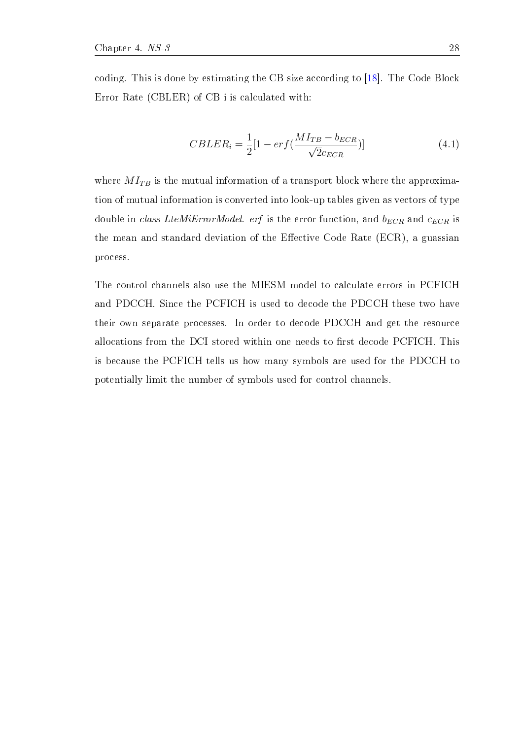coding. This is done by estimating the CB size according to [\[18\]](#page-45-4). The Code Block Error Rate (CBLER) of CB i is calculated with:

$$
CBLER_i = \frac{1}{2}[1 - erf(\frac{MI_{TB} - b_{ECR}}{\sqrt{2}c_{ECR}})]
$$
\n(4.1)

where  $MI_{TB}$  is the mutual information of a transport block where the approximation of mutual information is converted into look-up tables given as vectors of type double in class LteMiErrorModel. erf is the error function, and  $b_{ECR}$  and  $c_{ECR}$  is the mean and standard deviation of the Effective Code Rate (ECR), a guassian process.

The control channels also use the MIESM model to calculate errors in PCFICH and PDCCH. Since the PCFICH is used to decode the PDCCH these two have their own separate processes. In order to decode PDCCH and get the resource allocations from the DCI stored within one needs to first decode PCFICH. This is because the PCFICH tells us how many symbols are used for the PDCCH to potentially limit the number of symbols used for control channels.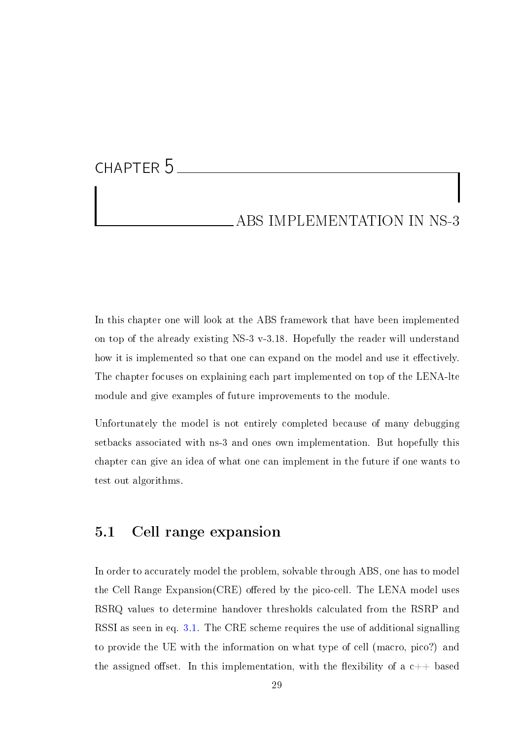## CHAPTER 5

#### ABS IMPLEMENTATION IN NS-3

In this chapter one will look at the ABS framework that have been implemented on top of the already existing NS-3 v-3.18. Hopefully the reader will understand how it is implemented so that one can expand on the model and use it effectively. The chapter focuses on explaining each part implemented on top of the LENA-lte module and give examples of future improvements to the module.

Unfortunately the model is not entirely completed because of many debugging setbacks associated with ns-3 and ones own implementation. But hopefully this chapter can give an idea of what one can implement in the future if one wants to test out algorithms.

#### 5.1 Cell range expansion

In order to accurately model the problem, solvable through ABS, one has to model the Cell Range  $Expansion(CRE)$  offered by the pico-cell. The LENA model uses RSRQ values to determine handover thresholds calculated from the RSRP and RSSI as seen in eq. [3.1.](#page-2-0) The CRE scheme requires the use of additional signalling to provide the UE with the information on what type of cell (macro, pico?) and the assigned offset. In this implementation, with the flexibility of a  $c++$  based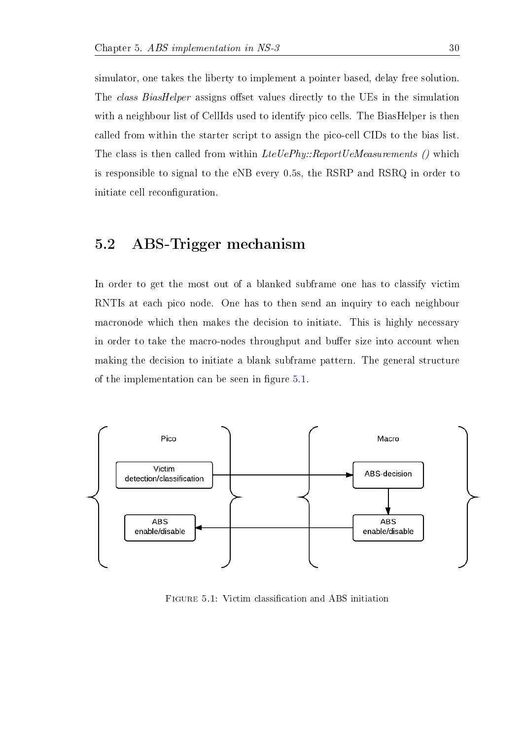simulator, one takes the liberty to implement a pointer based, delay free solution. The class BiasHelper assigns offset values directly to the UEs in the simulation with a neighbour list of CellIds used to identify pico cells. The BiasHelper is then called from within the starter script to assign the pico-cell CIDs to the bias list. The class is then called from within LteUePhy::ReportUeMeasurements () which is responsible to signal to the eNB every 0.5s, the RSRP and RSRQ in order to initiate cell reconfiguration.

#### <span id="page-35-0"></span>5.2 ABS-Trigger mechanism

In order to get the most out of a blanked subframe one has to classify victim RNTIs at each pico node. One has to then send an inquiry to each neighbour macronode which then makes the decision to initiate. This is highly necessary in order to take the macro-nodes throughput and buffer size into account when making the decision to initiate a blank subframe pattern. The general structure of the implementation can be seen in figure  $5.1$ .



FIGURE 5.1: Victim classification and ABS initiation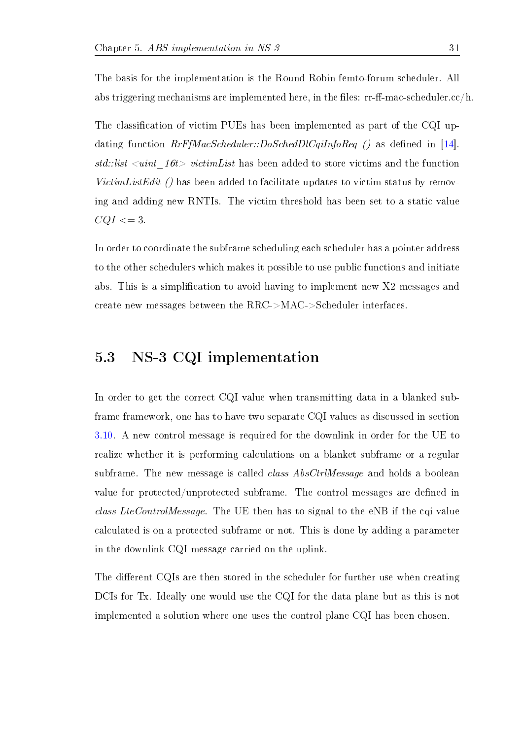The basis for the implementation is the Round Robin femto-forum scheduler. All abs triggering mechanisms are implemented here, in the files:  $rr-ff-mac-scheduler.c/h$ .

The classification of victim PUEs has been implemented as part of the CQI updating function  $Rrf_4$  as  $Scheduler: DoSched DlCqiInfoReg$  () as defined in [\[14\]](#page-45-0). std::list  $\langle$ uint  $16t$  victimList has been added to store victims and the function VictimListEdit () has been added to facilitate updates to victim status by removing and adding new RNTIs. The victim threshold has been set to a static value  $CQI \leq 3$ .

In order to coordinate the subframe scheduling each scheduler has a pointer address to the other schedulers which makes it possible to use public functions and initiate abs. This is a simplication to avoid having to implement new X2 messages and create new messages between the RRC->MAC->Scheduler interfaces.

#### 5.3 NS-3 CQI implementation

In order to get the correct CQI value when transmitting data in a blanked subframe framework, one has to have two separate CQI values as discussed in section [3.10.](#page-24-0) A new control message is required for the downlink in order for the UE to realize whether it is performing calculations on a blanket subframe or a regular subframe. The new message is called *class AbsCtrlMessage* and holds a boolean value for protected/unprotected subframe. The control messages are defined in class LteControlMessage. The UE then has to signal to the eNB if the cqi value calculated is on a protected subframe or not. This is done by adding a parameter in the downlink CQI message carried on the uplink.

The different CQIs are then stored in the scheduler for further use when creating DCIs for Tx. Ideally one would use the CQI for the data plane but as this is not implemented a solution where one uses the control plane CQI has been chosen.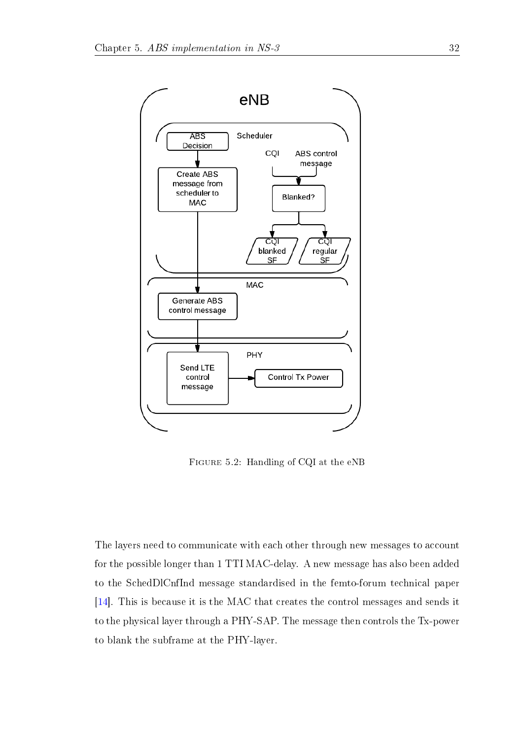

Figure 5.2: Handling of CQI at the eNB

The layers need to communicate with each other through new messages to account for the possible longer than 1 TTI MAC-delay. A new message has also been added to the SchedDlCnfInd message standardised in the femto-forum technical paper [\[14\]](#page-45-0). This is because it is the MAC that creates the control messages and sends it to the physical layer through a PHY-SAP. The message then controls the Tx-power to blank the subframe at the PHY-layer.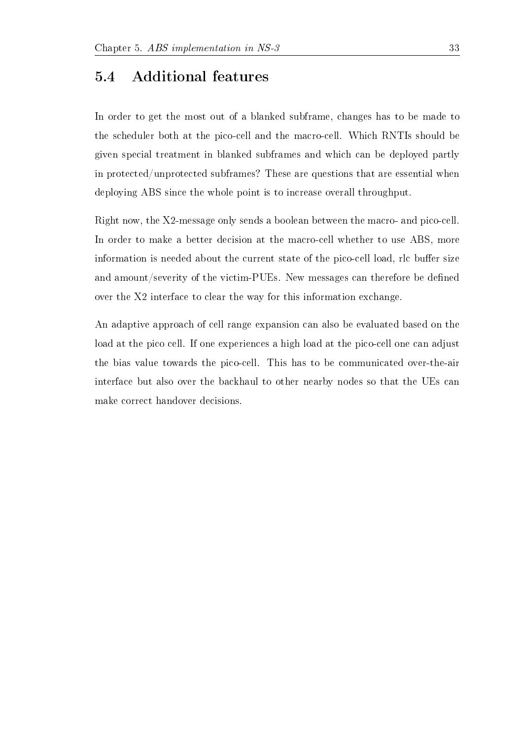#### 5.4 Additional features

In order to get the most out of a blanked subframe, changes has to be made to the scheduler both at the pico-cell and the macro-cell. Which RNTIs should be given special treatment in blanked subframes and which can be deployed partly in protected/unprotected subframes? These are questions that are essential when deploying ABS since the whole point is to increase overall throughput.

Right now, the X2-message only sends a boolean between the macro- and pico-cell. In order to make a better decision at the macro-cell whether to use ABS, more information is needed about the current state of the pico-cell load, rlc buffer size and amount/severity of the victim-PUEs. New messages can therefore be defined over the X2 interface to clear the way for this information exchange.

An adaptive approach of cell range expansion can also be evaluated based on the load at the pico cell. If one experiences a high load at the pico-cell one can adjust the bias value towards the pico-cell. This has to be communicated over-the-air interface but also over the backhaul to other nearby nodes so that the UEs can make correct handover decisions.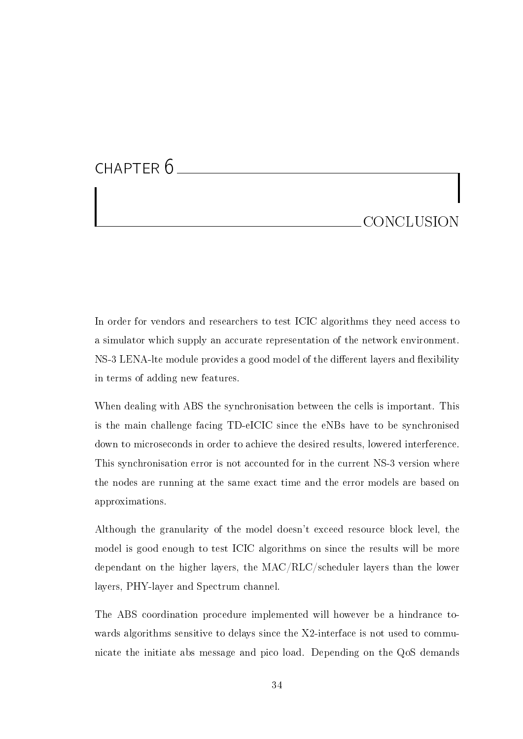## CHAPTER 6 **CONCLUSION**

In order for vendors and researchers to test ICIC algorithms they need access to a simulator which supply an accurate representation of the network environment. NS-3 LENA-lte module provides a good model of the different layers and flexibility in terms of adding new features.

When dealing with ABS the synchronisation between the cells is important. This is the main challenge facing TD-eICIC since the eNBs have to be synchronised down to microseconds in order to achieve the desired results, lowered interference. This synchronisation error is not accounted for in the current NS-3 version where the nodes are running at the same exact time and the error models are based on approximations.

Although the granularity of the model doesn't exceed resource block level, the model is good enough to test ICIC algorithms on since the results will be more dependant on the higher layers, the MAC/RLC/scheduler layers than the lower layers, PHY-layer and Spectrum channel.

The ABS coordination procedure implemented will however be a hindrance towards algorithms sensitive to delays since the X2-interface is not used to communicate the initiate abs message and pico load. Depending on the QoS demands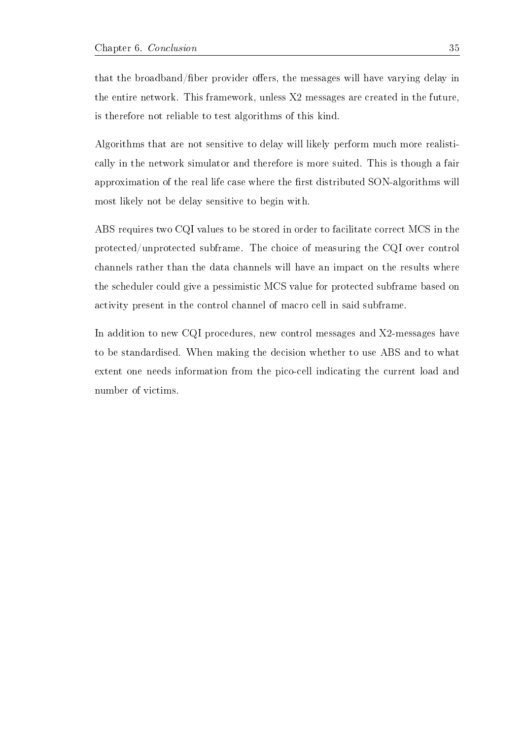that the broadband/fiber provider offers, the messages will have varying delay in the entire network. This framework, unless X2 messages are created in the future, is therefore not reliable to test algorithms of this kind.

Algorithms that are not sensitive to delay will likely perform much more realistically in the network simulator and therefore is more suited. This is though a fair approximation of the real life case where the first distributed SON-algorithms will most likely not be delay sensitive to begin with.

ABS requires two CQI values to be stored in order to facilitate correct MCS in the protected/unprotected subframe. The choice of measuring the CQI over control channels rather than the data channels will have an impact on the results where the scheduler could give a pessimistic MCS value for protected subframe based on activity present in the control channel of macro cell in said subframe.

In addition to new CQI procedures, new control messages and X2-messages have to be standardised. When making the decision whether to use ABS and to what extent one needs information from the pico-cell indicating the current load and number of victims.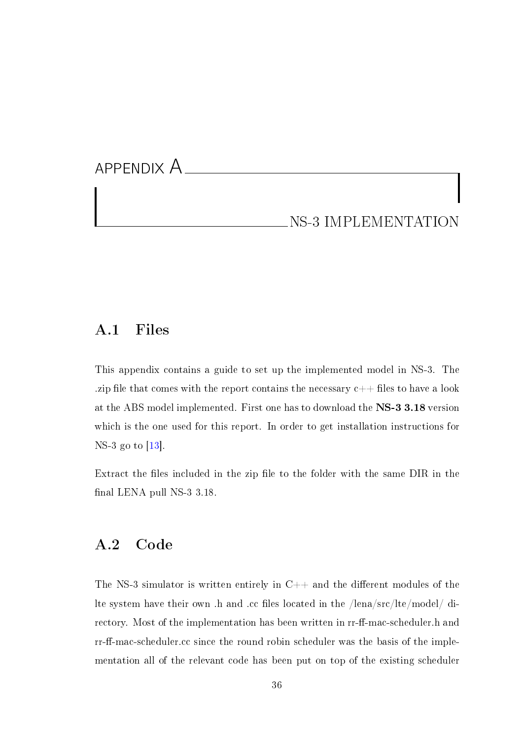## <span id="page-41-0"></span>APPENDIX A NS-3 IMPLEMENTATION

#### A.1 Files

This appendix contains a guide to set up the implemented model in NS-3. The .zip file that comes with the report contains the necessary  $c++$  files to have a look at the ABS model implemented. First one has to download the NS-3 3.18 version which is the one used for this report. In order to get installation instructions for NS-3 go to [\[13\]](#page-44-7).

Extract the files included in the zip file to the folder with the same DIR in the final LENA pull NS-3 3.18.

#### <span id="page-41-1"></span>A.2 Code

The NS-3 simulator is written entirely in  $C++$  and the different modules of the lte system have their own .h and .cc files located in the /lena/src/lte/model/ directory. Most of the implementation has been written in rr-ff-mac-scheduler.h and rr-ff-mac-scheduler.cc since the round robin scheduler was the basis of the implementation all of the relevant code has been put on top of the existing scheduler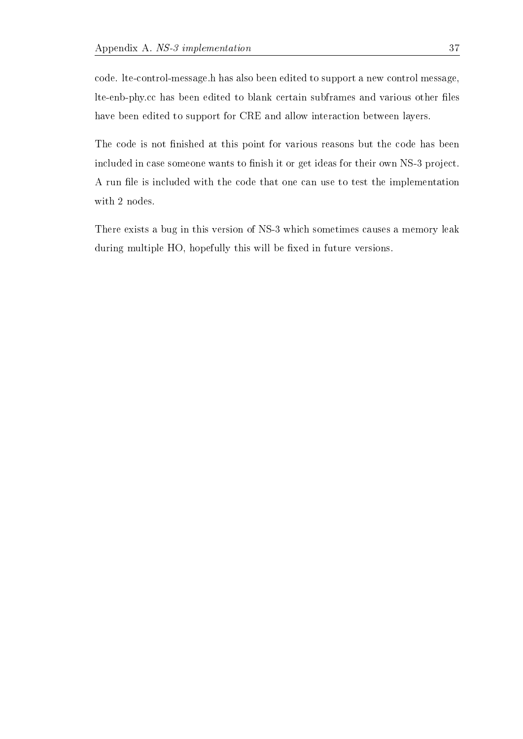code. lte-control-message.h has also been edited to support a new control message, lte-enb-phy.cc has been edited to blank certain subframes and various other files have been edited to support for CRE and allow interaction between layers.

The code is not finished at this point for various reasons but the code has been included in case someone wants to finish it or get ideas for their own NS-3 project. A run file is included with the code that one can use to test the implementation with 2 nodes.

There exists a bug in this version of NS-3 which sometimes causes a memory leak during multiple HO, hopefully this will be fixed in future versions.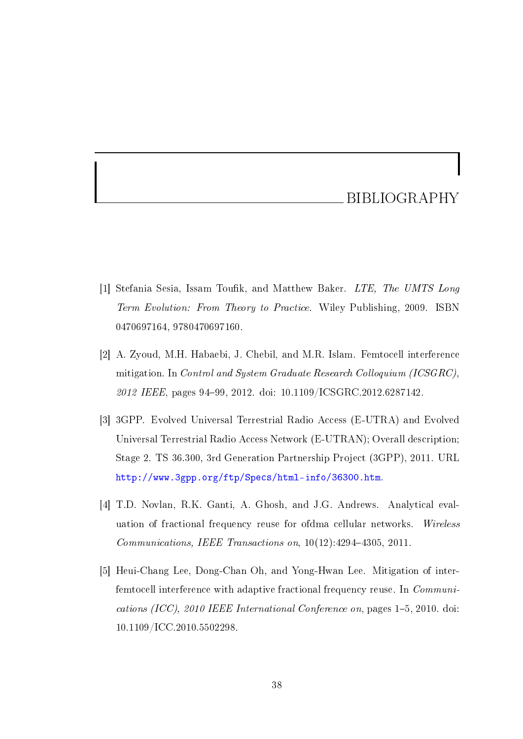#### BIBLIOGRAPHY

- <span id="page-43-0"></span>[1] Stefania Sesia, Issam Toufik, and Matthew Baker. LTE, The UMTS Long Term Evolution: From Theory to Practice. Wiley Publishing, 2009. ISBN 0470697164, 9780470697160.
- <span id="page-43-1"></span>[2] A. Zyoud, M.H. Habaebi, J. Chebil, and M.R. Islam. Femtocell interference mitigation. In Control and System Graduate Research Colloquium (ICSGRC), 2012 IEEE, pages 94-99, 2012. doi: 10.1109/ICSGRC.2012.6287142.
- <span id="page-43-2"></span>[3] 3GPP. Evolved Universal Terrestrial Radio Access (E-UTRA) and Evolved Universal Terrestrial Radio Access Network (E-UTRAN); Overall description; Stage 2. TS 36.300, 3rd Generation Partnership Project (3GPP), 2011. URL [http://www.3gpp.org/ftp/Specs/html-info/36300.htm.](http://www.3gpp.org/ftp/Specs/html-info/36300.htm)
- <span id="page-43-3"></span>[4] T.D. Novlan, R.K. Ganti, A. Ghosh, and J.G. Andrews. Analytical evaluation of fractional frequency reuse for ofdma cellular networks. Wireless  $Communications, IEEE Transactions on, 10(12):4294-4305, 2011.$
- <span id="page-43-4"></span>[5] Heui-Chang Lee, Dong-Chan Oh, and Yong-Hwan Lee. Mitigation of interfemtocell interference with adaptive fractional frequency reuse. In Communications (ICC), 2010 IEEE International Conference on, pages  $1-5$ , 2010. doi: 10.1109/ICC.2010.5502298.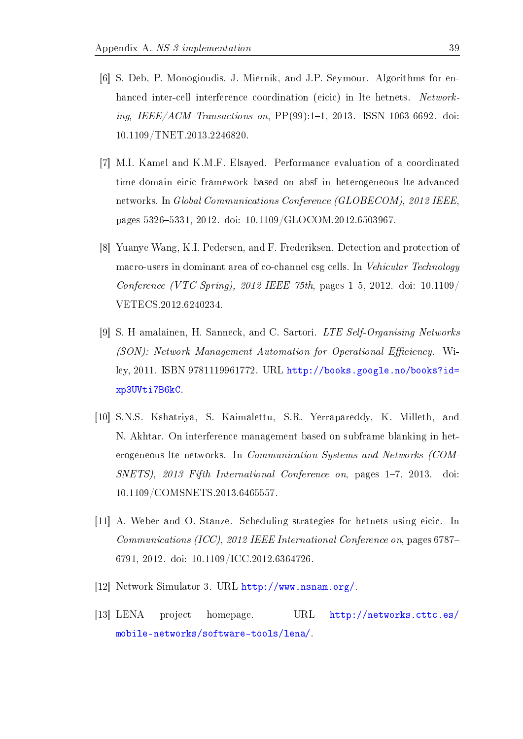- <span id="page-44-0"></span>[6] S. Deb, P. Monogioudis, J. Miernik, and J.P. Seymour. Algorithms for enhanced inter-cell interference coordination (eicic) in lte hetnets. Networking, IEEE/ACM Transactions on,  $PP(99):1-1$ , 2013. ISSN 1063-6692. doi: 10.1109/TNET.2013.2246820.
- <span id="page-44-1"></span>[7] M.I. Kamel and K.M.F. Elsayed. Performance evaluation of a coordinated time-domain eicic framework based on absf in heterogeneous lte-advanced networks. In Global Communications Conference (GLOBECOM), 2012 IEEE, pages 53265331, 2012. doi: 10.1109/GLOCOM.2012.6503967.
- <span id="page-44-2"></span>[8] Yuanye Wang, K.I. Pedersen, and F. Frederiksen. Detection and protection of macro-users in dominant area of co-channel csg cells. In Vehicular Technology Conference (VTC Spring), 2012 IEEE 75th, pages  $1-5$ , 2012. doi: 10.1109/ VETECS.2012.6240234.
- <span id="page-44-3"></span>[9] S. H amalainen, H. Sanneck, and C. Sartori. LTE Self-Organising Networks (SON): Network Management Automation for Operational Efficiency. Wiley, 2011. ISBN 9781119961772. URL [http://books.google.no/books?id=](http://books.google.no/books?id=xp3UVti7B6kC) [xp3UVti7B6kC.](http://books.google.no/books?id=xp3UVti7B6kC)
- <span id="page-44-4"></span>[10] S.N.S. Kshatriya, S. Kaimalettu, S.R. Yerrapareddy, K. Milleth, and N. Akhtar. On interference management based on subframe blanking in heterogeneous lte networks. In Communication Systems and Networks (COM- $SNETS$ , 2013 Fifth International Conference on, pages 1–7, 2013. doi: 10.1109/COMSNETS.2013.6465557.
- <span id="page-44-5"></span>[11] A. Weber and O. Stanze. Scheduling strategies for hetnets using eicic. In Communications (ICC), 2012 IEEE International Conference on, pages 6787 6791, 2012. doi: 10.1109/ICC.2012.6364726.
- <span id="page-44-6"></span>[12] Network Simulator 3. URL [http://www.nsnam.org/.](http://www.nsnam.org/)
- <span id="page-44-7"></span>[13] LENA project homepage. URL [http://networks.cttc.es/](http://networks.cttc.es/mobile-networks/software-tools/lena/) [mobile-networks/software-tools/lena/.](http://networks.cttc.es/mobile-networks/software-tools/lena/)